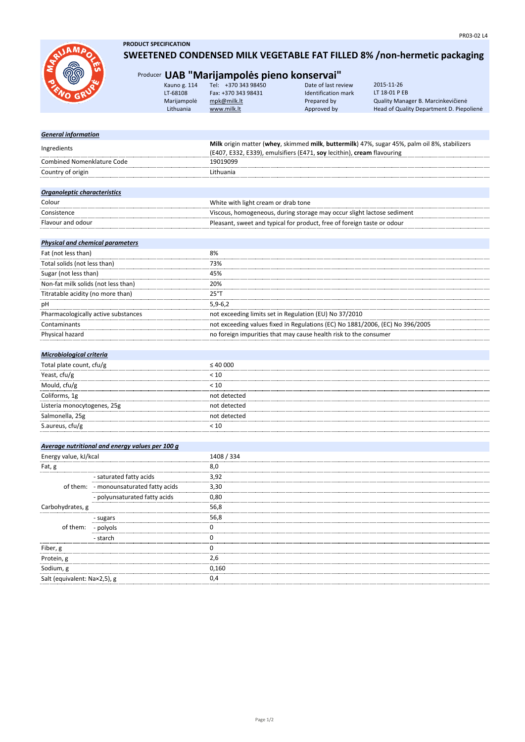

- sugars - polyols - starch

Fiber, g Protein, g Sodium, g

Carbohydrates, g

of them:

Salt (equivalent: Na×2,5), g

**PRODUCT SPECIFICATION**

## **SWEETENED CONDENSED MILK VEGETABLE FAT FILLED 8% /non-hermetic packaging**

## Producer **UAB "Marijampolės pieno konservai"**

| Kauno g. 114 | Tel: +370 343 98450 | Date of last review | 2015-11-26                               |
|--------------|---------------------|---------------------|------------------------------------------|
| LT-68108     | Fax: +370 343 98431 | Identification mark | LT 18-01 P EB                            |
| Marijampolė  | mpk@milk.lt         | Prepared by         | Quality Manager B. Marcinkevičienė       |
| Lithuania    | www.milk.lt         | Approved by         | Head of Quality Department D. Piepoliene |
|              |                     |                     |                                          |

| <b>General information</b>              |                                                 |                                                                                              |  |
|-----------------------------------------|-------------------------------------------------|----------------------------------------------------------------------------------------------|--|
| Ingredients                             |                                                 | Milk origin matter (whey, skimmed milk, buttermilk) 47%, sugar 45%, palm oil 8%, stabilizers |  |
|                                         |                                                 | (E407, E332, E339), emulsifiers (E471, soy lecithin), cream flavouring                       |  |
| <b>Combined Nomenklature Code</b>       |                                                 | 19019099                                                                                     |  |
| Country of origin                       |                                                 | Lithuania                                                                                    |  |
|                                         |                                                 |                                                                                              |  |
| Organoleptic characteristics            |                                                 |                                                                                              |  |
| Colour                                  |                                                 | White with light cream or drab tone                                                          |  |
| Consistence                             |                                                 | Viscous, homogeneous, during storage may occur slight lactose sediment                       |  |
| Flavour and odour                       |                                                 | Pleasant, sweet and typical for product, free of foreign taste or odour                      |  |
|                                         |                                                 |                                                                                              |  |
| <b>Physical and chemical parameters</b> |                                                 |                                                                                              |  |
| Fat (not less than)                     |                                                 | 8%                                                                                           |  |
| Total solids (not less than)            |                                                 | 73%                                                                                          |  |
| Sugar (not less than)                   |                                                 | 45%                                                                                          |  |
| Non-fat milk solids (not less than)     |                                                 | 20%                                                                                          |  |
| Titratable acidity (no more than)       |                                                 | $25^{\circ}$ T                                                                               |  |
| рH                                      |                                                 | $5,9-6,2$                                                                                    |  |
| Pharmacologically active substances     |                                                 | not exceeding limits set in Regulation (EU) No 37/2010                                       |  |
| Contaminants                            |                                                 | not exceeding values fixed in Regulations (EC) No 1881/2006, (EC) No 396/2005                |  |
| Physical hazard                         |                                                 | no foreign impurities that may cause health risk to the consumer                             |  |
|                                         |                                                 |                                                                                              |  |
| Microbiological criteria                |                                                 |                                                                                              |  |
| Total plate count, cfu/g                |                                                 | $\leq 40000$                                                                                 |  |
| Yeast, cfu/g                            |                                                 | < 10                                                                                         |  |
| Mould, cfu/g                            |                                                 | < 10                                                                                         |  |
| Coliforms, 1g                           |                                                 | not detected                                                                                 |  |
| Listeria monocytogenes, 25g             |                                                 | not detected                                                                                 |  |
| Salmonella, 25g                         |                                                 | not detected                                                                                 |  |
| S.aureus, cfu/g                         |                                                 | < 10                                                                                         |  |
|                                         |                                                 |                                                                                              |  |
|                                         | Average nutritional and energy values per 100 g |                                                                                              |  |
| Energy value, kJ/kcal                   |                                                 | 1408 / 334                                                                                   |  |
| Fat, g                                  |                                                 | 8,0                                                                                          |  |
|                                         | - saturated fatty acids                         | 3,92                                                                                         |  |
| of them:                                | - monounsaturated fatty acids                   | 3,30                                                                                         |  |
|                                         | - polyunsaturated fatty acids                   | 0,80                                                                                         |  |

2,6 0,160 0,4

56,8